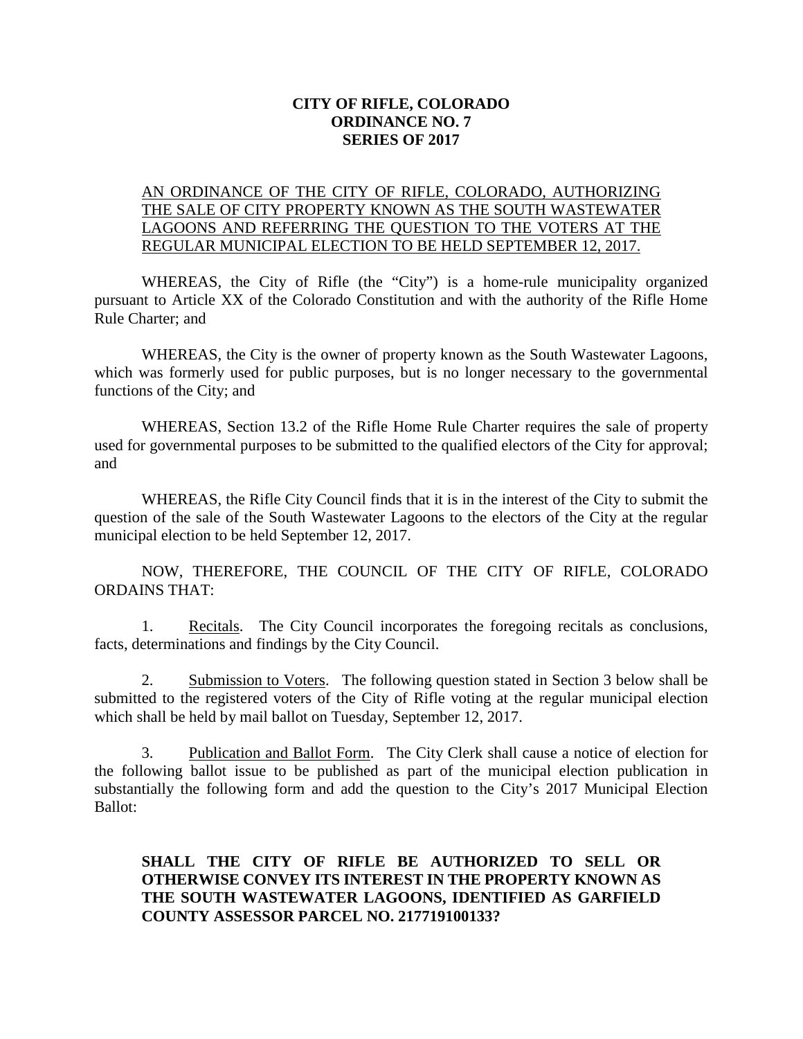## **CITY OF RIFLE, COLORADO ORDINANCE NO. 7 SERIES OF 2017**

## AN ORDINANCE OF THE CITY OF RIFLE, COLORADO, AUTHORIZING THE SALE OF CITY PROPERTY KNOWN AS THE SOUTH WASTEWATER LAGOONS AND REFERRING THE QUESTION TO THE VOTERS AT THE REGULAR MUNICIPAL ELECTION TO BE HELD SEPTEMBER 12, 2017.

WHEREAS, the City of Rifle (the "City") is a home-rule municipality organized pursuant to Article XX of the Colorado Constitution and with the authority of the Rifle Home Rule Charter; and

WHEREAS, the City is the owner of property known as the South Wastewater Lagoons, which was formerly used for public purposes, but is no longer necessary to the governmental functions of the City; and

WHEREAS, Section 13.2 of the Rifle Home Rule Charter requires the sale of property used for governmental purposes to be submitted to the qualified electors of the City for approval; and

WHEREAS, the Rifle City Council finds that it is in the interest of the City to submit the question of the sale of the South Wastewater Lagoons to the electors of the City at the regular municipal election to be held September 12, 2017.

NOW, THEREFORE, THE COUNCIL OF THE CITY OF RIFLE, COLORADO ORDAINS THAT:

1. Recitals. The City Council incorporates the foregoing recitals as conclusions, facts, determinations and findings by the City Council.

2. Submission to Voters. The following question stated in Section 3 below shall be submitted to the registered voters of the City of Rifle voting at the regular municipal election which shall be held by mail ballot on Tuesday, September 12, 2017.

3. Publication and Ballot Form. The City Clerk shall cause a notice of election for the following ballot issue to be published as part of the municipal election publication in substantially the following form and add the question to the City's 2017 Municipal Election Ballot:

## **SHALL THE CITY OF RIFLE BE AUTHORIZED TO SELL OR OTHERWISE CONVEY ITS INTEREST IN THE PROPERTY KNOWN AS THE SOUTH WASTEWATER LAGOONS, IDENTIFIED AS GARFIELD COUNTY ASSESSOR PARCEL NO. 217719100133?**